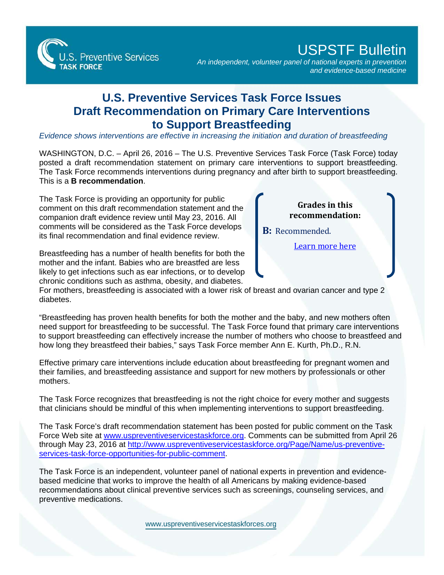S. Preventive Services **TASK FORCE** 

## USPSTF Bulletin

*An independent, volunteer panel of national experts in prevention and evidence-based medicine*

## **U.S. Preventive Services Task Force Issues Draft Recommendation on Primary Care Interventions to Support Breastfeeding**

*Evidence shows interventions are effective in increasing the initiation and duration of breastfeeding* 

WASHINGTON, D.C. - April 26, 2016 - The U.S. Preventive Services Task Force (Task Force) today posted a draft recommendation statement on primary care interventions to support breastfeeding. The Task Force recommends interventions during pregnancy and after birth to support breastfeeding.

companion draft evidence review until May 23, 2016. All comments will be considered as the Task Force develops its final recommendation and final evidence review.

Breastfeeding has a number of health benefits for both the mother and the infant. Babies who are breastfed are less likely to get infections such as ear infections, or to develop chronic conditions such as asthma, obesity, and diabetes.

For mothers, breastfeeding is associated with a lower risk of breast and ovarian cancer and type 2 diabetes.

"Breastfeeding has proven health benefits for both the mother and the baby, and new mothers often need support for breastfeeding to be successful. The Task Force found that primary care interventions to support breastfeeding can effectively increase the number of mothers who choose to breastfeed and how long they breastfeed their babies," says Task Force member Ann E. Kurth, Ph.D., R.N.

Effective primary care interventions include education about breastfeeding for pregnant women and their families, and breastfeeding assistance and support for new mothers by professionals or other mothers.

The Task Force recognizes that breastfeeding is not the right choice for every mother and suggests that clinicians should be mindful of this when implementing interventions to support breastfeeding.

The Task Force's draft recommendation statement has been posted for public comment on the Task Force Web site at [www.uspreventiveservicestaskforce.org.](http://www.uspreventiveservicestaskforce.org/) Comments can be submitted from April 26 through May 23, 2016 [at http://www.uspreventiveservicestaskforce.org/Page/Name/us-preventive](http://www.uspreventiveservicestaskforce.org/Page/Name/us-preventive-services-task-force-opportunities-for-public-comment)services-task-force-opportunities-for-public-comment.

The Task Force is an independent, volunteer panel of national experts in prevention and evidencebased medicine that works to improve the health of all Americans by making evidence-based recommendations about clinical preventive services such as screenings, counseling services, and preventive medications.

[www.uspreventiveservicestaskforces.org](www.uspreventiveservicestaskforce.org)

This is a **B recommendation**. The Task Force is providing an opportunity for public comment on this draft recommendation statement and the **Grades in this recommendation:** 

**B:** Recommended.

[Learn more here](http://www.uspreventiveservicestaskforce.org/Page/Name/grade-definitions)